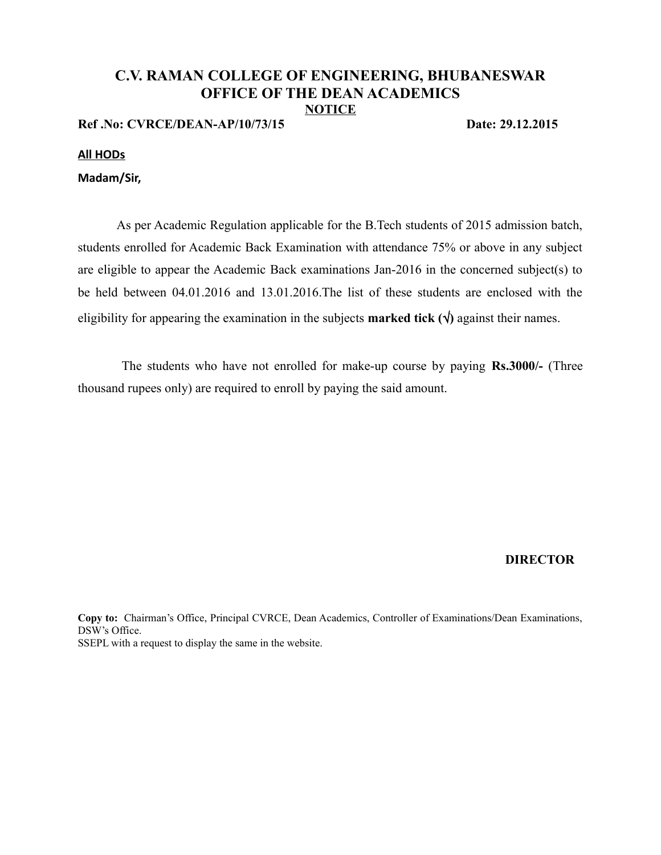# **C.V. RAMAN COLLEGE OF ENGINEERING, BHUBANESWAR OFFICE OF THE DEAN ACADEMICS NOTICE**

**Ref .No: CVRCE/DEAN-AP/10/73/15 Date: 29.12.2015**

### **All HODs**

## **Madam/Sir,**

As per Academic Regulation applicable for the B.Tech students of 2015 admission batch, students enrolled for Academic Back Examination with attendance 75% or above in any subject are eligible to appear the Academic Back examinations Jan-2016 in the concerned subject(s) to be held between 04.01.2016 and 13.01.2016.The list of these students are enclosed with the eligibility for appearing the examination in the subjects **marked tick**  $(\sqrt)$  against their names.

 The students who have not enrolled for make-up course by paying **Rs.3000/-** (Three thousand rupees only) are required to enroll by paying the said amount.

## **DIRECTOR**

**Copy to:** Chairman's Office, Principal CVRCE, Dean Academics, Controller of Examinations/Dean Examinations, DSW's Office. SSEPL with a request to display the same in the website.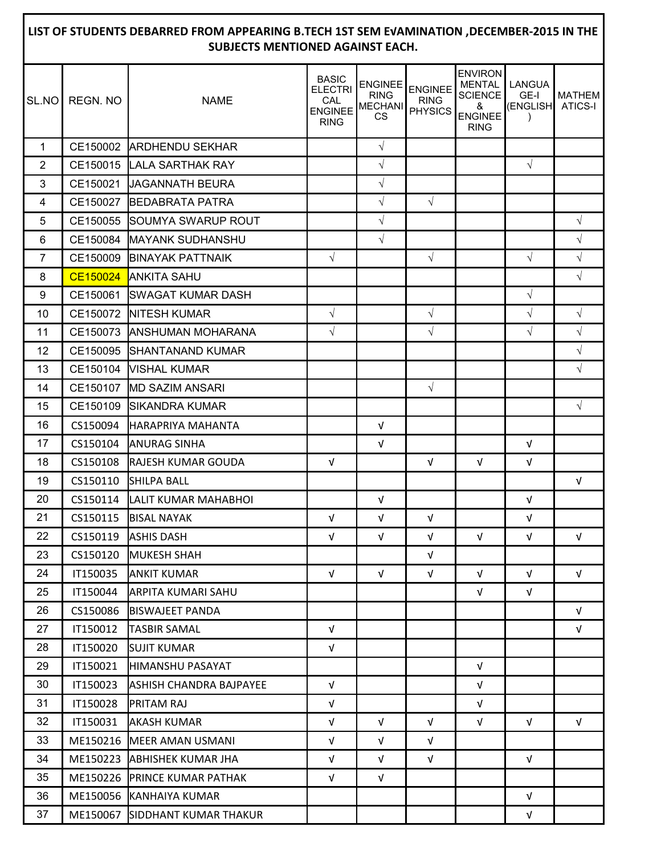#### SL.NO REGN. NO NAME 1 CE150002 ARDHENDU SEKHAR √ 2 CE150015 LALA SARTHAK RAY √ √ 3 CE150021 JAGANNATH BEURA √ 4 CE150027 BEDABRATA PATRA √ √ 5 CE150055 SOUMYA SWARUP ROUT │ │ │ √ │ │ │ │ │ │ √ 6 CE150084 MAYANK SUDHANSHU √ √ 7 CE150009 BINAYAK PATTNAIK √ √ √ √ 8 CE150024 ANKITA SAHU │ │ │ │ │ │ │ │ │ │ │ │ 9 CE150061 SWAGAT KUMAR DASH │ │ │ │ │ │ │ │ │ │ 10 CE150072 NITESH KUMAR │ │ │ │ │ │ │ │ │ │ │ │ │ 11 CE150073 ANSHUMAN MOHARANA √ √ √ √ 12 CE150095 SHANTANAND KUMAR √ 13 CE150104 VISHAL KUMAR √ 14 CE150107 MD SAZIM ANSARI √ 15 CE150109 SIKANDRA KUMAR √ 16 CS150094 HARAPRIYA MAHANTA √ 17 CS150104 ANURAG SINHA │ │ │ √ │ │ │ │ √ 18 CS150108 RAJESH KUMAR GOUDA │ √ │ √ │ √ │ √ │ √ 19 CS150110 SHILPA BALL │ │ │ │ │ │ │ │ │ √ 20 CS150114 LALIT KUMAR MAHABHOI │ │ √ │ │ │ │ √ 21 | CS150115 |BISAL NAYAK │ │ │ │ │ │ │ │ │ │ │ │ │ │ │ │ 22 CS150119 ASHIS DASH │ √ │ √ │ √ │ √ │ √ │ √ 23 CS150120 MUKESH SHAH │ │ │ │ │ │ │ √ 24 I IT150035 IANKIT KUMAR │ │ √ │ √ │ √ │ √ │ √ │ √ 25 IT150044 ARPITA KUMARI SAHU √ √ 26 CS150086 BISWAJEET PANDA √ 27 IT150012 TASBIR SAMAL √ √ 28 | IT150020 SUJIT KUMAR │ │ √ 29 IT150021 HIMANSHU PASAYAT √ 30 IT150023 ASHISH CHANDRA BAJPAYEE √ √ 31 | IT150028 |PRITAM RAJ │ │ │ │ │ │ │ │ │ │ √ 32 | IT150031 |AKASH KUMAR │ │ √ │ √ │ √ │ √ │ √ │ √ 33 ME150216 MEER AMAN USMANI √ √ √ 34 ME150223 ABHISHEK KUMAR JHA ← │ √ │ √ │ √ │ √ │ √ 35 ME150226 PRINCE KUMAR PATHAK √ √ 36 ME150056 KANHAIYA KUMAR √ 37 ME150067 SIDDHANT KUMAR THAKUR √ **LIST OF STUDENTS DEBARRED FROM APPEARING B.TECH 1ST SEM E√AMINATION ,DECEMBER-2015 IN THE SUBJECTS MENTIONED AGAINST EACH.** BASIC **ELECTRI** CAL ENGINEE RING ENGINEE RING MECHANI CS ENGINEE RING PHYSICS ENVIRON MENTAL **SCIENCE** & ENGINEE RING LANGUA GE-I (ENGLISH ) MATHEM ATICS-I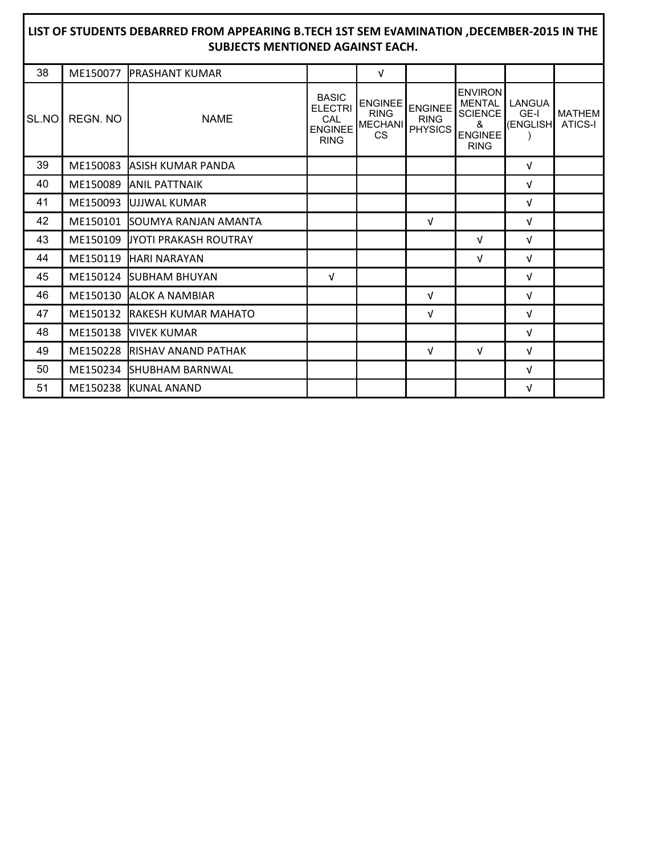| LIST OF STUDENTS DEBARRED FROM APPEARING B.TECH 1ST SEM EVAMINATION , DECEMBER-2015 IN THE<br><b>SUBJECTS MENTIONED AGAINST EACH.</b> |          |                                 |                                                                        |                                                       |                                                 |                                                                                         |                                     |                          |  |  |  |  |
|---------------------------------------------------------------------------------------------------------------------------------------|----------|---------------------------------|------------------------------------------------------------------------|-------------------------------------------------------|-------------------------------------------------|-----------------------------------------------------------------------------------------|-------------------------------------|--------------------------|--|--|--|--|
| 38                                                                                                                                    | ME150077 | <b>IPRASHANT KUMAR</b>          |                                                                        | $\sqrt{ }$                                            |                                                 |                                                                                         |                                     |                          |  |  |  |  |
| SL.NO                                                                                                                                 | REGN. NO | <b>NAME</b>                     | <b>BASIC</b><br><b>ELECTRI</b><br>CAL<br><b>ENGINEE</b><br><b>RING</b> | <b>ENGINEE</b><br><b>RING</b><br><b>MECHANI</b><br>CS | <b>ENGINEE</b><br><b>RING</b><br><b>PHYSICS</b> | <b>ENVIRON</b><br><b>MENTAL</b><br><b>SCIENCE</b><br>ጼ<br><b>ENGINEE</b><br><b>RING</b> | LANGUA<br>GE-I<br>(ENGLISH <b>I</b> | <b>MATHEM</b><br>ATICS-I |  |  |  |  |
| 39                                                                                                                                    | ME150083 | <b>JASISH KUMAR PANDA</b>       |                                                                        |                                                       |                                                 |                                                                                         | $\sqrt{ }$                          |                          |  |  |  |  |
| 40                                                                                                                                    | ME150089 | <b>ANIL PATTNAIK</b>            |                                                                        |                                                       |                                                 |                                                                                         | $\sqrt{ }$                          |                          |  |  |  |  |
| 41                                                                                                                                    | ME150093 | UJJWAL KUMAR                    |                                                                        |                                                       |                                                 |                                                                                         | $\sqrt{ }$                          |                          |  |  |  |  |
| 42                                                                                                                                    |          | ME150101 SOUMYA RANJAN AMANTA   |                                                                        |                                                       | $\sqrt{ }$                                      |                                                                                         | V                                   |                          |  |  |  |  |
| 43                                                                                                                                    |          | ME150109 JJYOTI PRAKASH ROUTRAY |                                                                        |                                                       |                                                 | $\sqrt{ }$                                                                              | $\sqrt{ }$                          |                          |  |  |  |  |
| 44                                                                                                                                    |          | ME150119 HARI NARAYAN           |                                                                        |                                                       |                                                 | $\sqrt{ }$                                                                              | V                                   |                          |  |  |  |  |
| 45                                                                                                                                    |          | ME150124 SUBHAM BHUYAN          | $\sqrt{ }$                                                             |                                                       |                                                 |                                                                                         | v                                   |                          |  |  |  |  |
| 46                                                                                                                                    |          | ME150130 ALOK A NAMBIAR         |                                                                        |                                                       | $\sqrt{ }$                                      |                                                                                         | $\sqrt{ }$                          |                          |  |  |  |  |
| 47                                                                                                                                    | ME150132 | <b>IRAKESH KUMAR MAHATO</b>     |                                                                        |                                                       | $\sqrt{ }$                                      |                                                                                         | $\sqrt{ }$                          |                          |  |  |  |  |
| 48                                                                                                                                    |          | ME150138 VIVEK KUMAR            |                                                                        |                                                       |                                                 |                                                                                         | V                                   |                          |  |  |  |  |
| 49                                                                                                                                    |          | ME150228 RISHAV ANAND PATHAK    |                                                                        |                                                       | $\sqrt{ }$                                      | $\sqrt{ }$                                                                              | $\sqrt{ }$                          |                          |  |  |  |  |
| 50                                                                                                                                    |          | ME150234 SHUBHAM BARNWAL        |                                                                        |                                                       |                                                 |                                                                                         | V                                   |                          |  |  |  |  |
| 51                                                                                                                                    |          | ME150238 KUNAL ANAND            |                                                                        |                                                       |                                                 |                                                                                         | v                                   |                          |  |  |  |  |